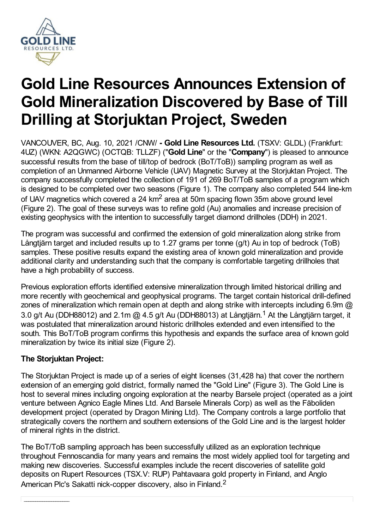

# **Gold Line Resources Announces Extension of Gold Mineralization Discovered by Base of Till Drilling at Storjuktan Project, Sweden**

VANCOUVER, BC, Aug. 10, 2021 /CNW/ **- Gold Line Resources Ltd.** (TSXV: GLDL) (Frankfurt: 4UZ) (WKN: A2QGWC) (OCTQB: TLLZF) ("**Gold Line**" or the "**Company**") is pleased to announce successful results from the base of till/top of bedrock (BoT/ToB)) sampling program as well as completion of an Unmanned Airborne Vehicle (UAV) Magnetic Survey at the Storjuktan Project. The company successfully completed the collection of 191 of 269 BoT/ToB samples of a program which is designed to be completed over two seasons (Figure 1). The company also completed 544 line-km of UAV magnetics which covered a 24  $km^2$  area at 50m spacing flown 35m above ground level (Figure 2). The goal of these surveys was to refine gold (Au) anomalies and increase precision of existing geophysics with the intention to successfully target diamond drillholes (DDH) in 2021.

The program was successful and confirmed the extension of gold mineralization along strike from Långtjärn target and included results up to 1.27 grams per tonne (g/t) Au in top of bedrock (ToB) samples. These positive results expand the existing area of known gold mineralization and provide additional clarity and understanding such that the company is comfortable targeting drillholes that have a high probability of success.

Previous exploration efforts identified extensive mineralization through limited historical drilling and more recently with geochemical and geophysical programs. The target contain historical drill-defined zones of mineralization which remain open at depth and along strike with intercepts including 6.9m  $@$ 3.0 g/t Au (DDH88012) and 2.1m @ 4.5 g/t Au (DDH88013) at Långtjärn.<sup>1</sup> At the Långtjärn target, it was postulated that mineralization around historic drillholes extended and even intensified to the south. This BoT/ToB program confirms this hypothesis and expands the surface area of known gold mineralization by twice its initial size (Figure 2).

## **The Storjuktan Project:**

The Storiuktan Project is made up of a series of eight licenses (31,428 ha) that cover the northern extension of an emerging gold district, formally named the "Gold Line" (Figure 3). The Gold Line is host to several mines including ongoing exploration at the nearby Barsele project (operated as a joint venture between Agnico Eagle Mines Ltd. And Barsele Minerals Corp) as well as the Fäboliden development project (operated by Dragon Mining Ltd). The Company controls a large portfolio that strategically covers the northern and southern extensions of the Gold Line and is the largest holder of mineral rights in the district.

The BoT/ToB sampling approach has been successfully utilized as an exploration technique throughout Fennoscandia for many years and remains the most widely applied tool for targeting and making new discoveries. Successful examples include the recent discoveries of satellite gold deposits on Rupert Resources (TSX.V: RUP) Pahtavaara gold property in Finland, and Anglo American Plc's Sakatti nick-copper discovery, also in Finland.<sup>2</sup>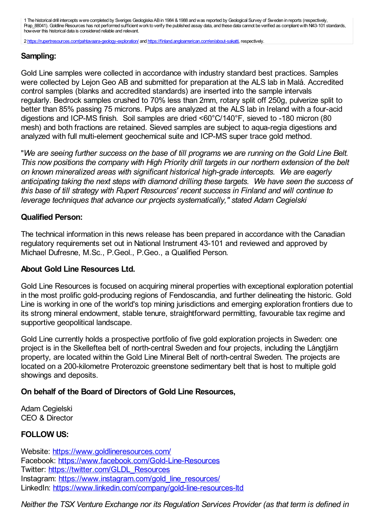1 The historical drill intercepts were completed by Sveriges Geologiska ABin 1984 &1988 andwas reported by Geological Survey of Sweden in reports (respectively, Prap\_88041). Goldline Resources has not performed sufficient work to verify the published assay data, and these data cannot be verified as compliant with NI43-101 standards, however this historical data is considered reliable and relevant.

2 <https://rupertresources.com/pahtavaara-geology-exploration/> and <https://finland.angloamerican.com/en/about-sakatti>, respectively.

#### **Sampling:**

Gold Line samples were collected in accordance with industry standard best practices. Samples were collected by Lejon Geo AB and submitted for preparation at the ALS lab in Malå. Accredited control samples (blanks and accredited standards) are inserted into the sample intervals regularly. Bedrock samples crushed to 70% less than 2mm, rotary split off 250g, pulverize split to better than 85% passing 75 microns. Pulps are analyzed at the ALS lab in Ireland with a four-acid digestions and ICP-MS finish. Soil samples are dried <60°C/140°F, sieved to -180 micron (80 mesh) and both fractions are retained. Sieved samples are subject to aqua-regia digestions and analyzed with full multi-element geochemical suite and ICP-MS super trace gold method.

"We are seeing further success on the base of till programs we are running on the Gold Line Belt. *This now positions the company with High Priority drill targets in our northern extension of the belt on known mineralized areas with significant historical high-grade intercepts. We are eagerly anticipating taking the next steps with diamond drilling these targets. We have seen the success of this base of till strategy with Rupert Resources' recent success in Finland and will continue to leverage techniques that advance our projects systematically," stated Adam Cegielski*

#### **Qualified Person:**

The technical information in this news release has been prepared in accordance with the Canadian regulatory requirements set out in National Instrument 43-101 and reviewed and approved by Michael Dufresne, M.Sc., P.Geol., P.Geo., a Qualified Person.

#### **About Gold Line Resources Ltd.**

Gold Line Resources is focused on acquiring mineral properties with exceptional exploration potential in the most prolific gold-producing regions of Fendoscandia, and further delineating the historic. Gold Line is working in one of the world's top mining jurisdictions and emerging exploration frontiers due to its strong mineral endowment, stable tenure, straightforward permitting, favourable tax regime and supportive geopolitical landscape.

Gold Line currently holds a prospective portfolio of five gold exploration projects in Sweden: one project is in the Skelleftea belt of north-central Sweden and four projects, including the Långtjärn property, are located within the Gold Line Mineral Belt of north-central Sweden. The projects are located on a 200-kilometre Proterozoic greenstone sedimentary belt that is host to multiple gold showings and deposits.

#### **On behalf of the Board of Directors of Gold Line Resources,**

Adam Cegielski CEO & Director

#### **FOLLOW US:**

Website: <https://www.goldlineresources.com/> Facebook: <https://www.facebook.com/Gold-Line-Resources> Twitter: [https://twitter.com/GLDL\\_Resources](https://twitter.com/GLDL_Resources) Instagram: [https://www.instagram.com/gold\\_line\\_resources/](https://www.instagram.com/gold_line_resources/) LinkedIn: <https://www.linkedin.com/company/gold-line-resources-ltd>

*Neither the TSX Venture Exchange nor its Regulation Services Provider (as that term is defined in*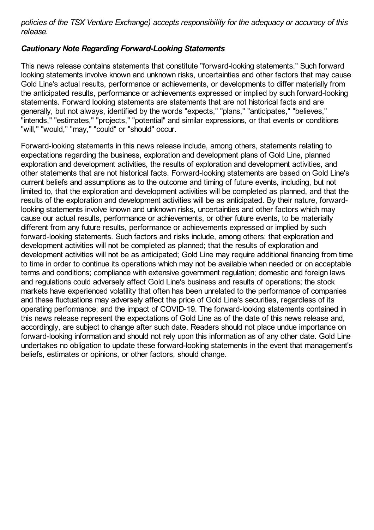*policies of the TSX Venture Exchange) accepts responsibility for the adequacy or accuracy of this release.*

### *Cautionary Note Regarding Forward-Looking Statements*

This news release contains statements that constitute "forward-looking statements." Such forward looking statements involve known and unknown risks, uncertainties and other factors that may cause Gold Line's actual results, performance or achievements, or developments to differ materially from the anticipated results, performance or achievements expressed or implied by such forward-looking statements. Forward looking statements are statements that are not historical facts and are generally, but not always, identified by the words "expects," "plans," "anticipates," "believes," "intends," "estimates," "projects," "potential" and similar expressions, or that events or conditions "will," "would," "may," "could" or "should" occur.

Forward-looking statements in this news release include, among others, statements relating to expectations regarding the business, exploration and development plans of Gold Line, planned exploration and development activities, the results of exploration and development activities, and other statements that are not historical facts. Forward-looking statements are based on Gold Line's current beliefs and assumptions as to the outcome and timing of future events, including, but not limited to, that the exploration and development activities will be completed as planned, and that the results of the exploration and development activities will be as anticipated. By their nature, forwardlooking statements involve known and unknown risks, uncertainties and other factors which may cause our actual results, performance or achievements, or other future events, to be materially different from any future results, performance or achievements expressed or implied by such forward-looking statements. Such factors and risks include, among others: that exploration and development activities will not be completed as planned; that the results of exploration and development activities will not be as anticipated; Gold Line may require additional financing from time to time in order to continue its operations which may not be available when needed or on acceptable terms and conditions; compliance with extensive government regulation; domestic and foreign laws and regulations could adversely affect Gold Line's business and results of operations; the stock markets have experienced volatility that often has been unrelated to the performance of companies and these fluctuations may adversely affect the price of Gold Line's securities, regardless of its operating performance; and the impact of COVID-19. The forward-looking statements contained in this news release represent the expectations of Gold Line as of the date of this news release and, accordingly, are subject to change after such date. Readers should not place undue importance on forward-looking information and should not rely upon this information as of any other date. Gold Line undertakes no obligation to update these forward-looking statements in the event that management's beliefs, estimates or opinions, or other factors, should change.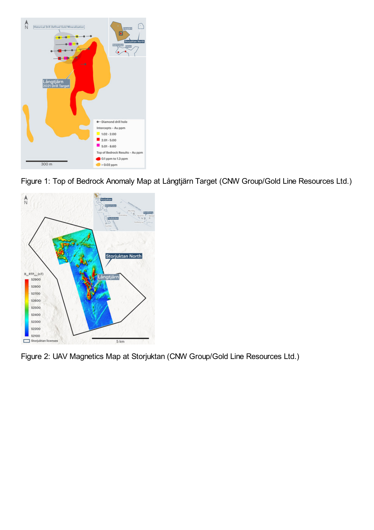

Figure 1: Top of Bedrock Anomaly Map at Långtjärn Target (CNW Group/Gold Line Resources Ltd.)



Figure 2: UAV Magnetics Map at Storjuktan (CNW Group/Gold Line Resources Ltd.)